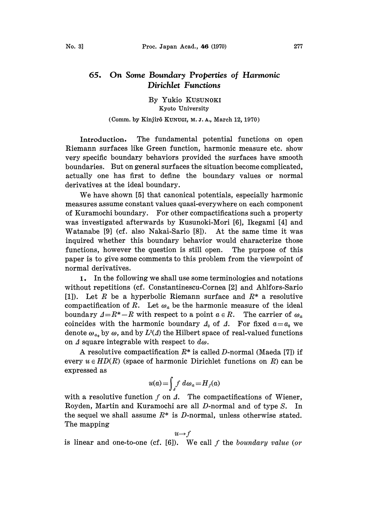## On Some Boundary Properties of Harmonic 65. Dirichlet Functions

By Yukio KUSUNOKI Kyoto University

## (Comm. by Kinjirô KUNUGI, M. J. A., March 12, 1970)

Introduction. The fundamental potential functions on open Riemann surfaces like Green function, harmonic measure etc. show very specific boundary behaviors provided the surfaces have smooth boundaries. But on general surfaces the situation become complicated, actually one has first to define the boundary values or normal derivatives at the ideal boundary.

We have shown [5] that canonical potentials, especially harmonic measures assume constant values quasi-everywhere on each component of Kuramochi boundary. For other compactifications such a property was investigated, afterwards by Kusunoki-Mori [6], Ikegami [4] and Watanabe [9] (cf. also Nakai-Sario [8]). At the same time it was inquired whether this boundary behavior would characterize those functions, however the question is still open. The purpose of this paper is to give some comments to this problem from the viewpoint of normal derivatives.

1. In the following we shall use some terminologies and notations without repetitions (cf. Constantinescu-Cornea [2] and Ahlfors-Sario [1]). Let R be a hyperbolic Riemann surface and  $R^*$  a resolutive compactification of R. Let  $\omega_a$  be the harmonic measure of the ideal boundary  $\Delta=R^*-R$  with respect to a point  $a \in R$ . The carrier of  $\omega_a$ coincides with the harmonic boundary  $\Delta_0$  of  $\Delta$ . For fixed  $a=a_0$  we denote  $\omega_{a_0}$  by  $\omega$ , and by  $L^2(\Lambda)$  the Hilbert space of real-valued functions on  $\Delta$  square integrable with respect to  $d\omega$ .

A resolutive compactification  $R^*$  is called D-normal (Maeda [7]) if every  $u \in HD(R)$  (space of harmonic Dirichlet functions on R) can be expressed as

$$
u(a) = \int_A f \, d\omega_a = H_f(a)
$$

with a resolutive function  $f$  on  $\Delta$ . The compactifications of Wiener, Royden, Martin and Kuramochi are all D-normal and of type S. In the sequel we shall assume  $R^*$  is D-normal, unless otherwise stated. The mapping

$$
u \rightarrow f
$$

is linear and one-to-one (cf.  $[6]$ ). We call f the boundary value (or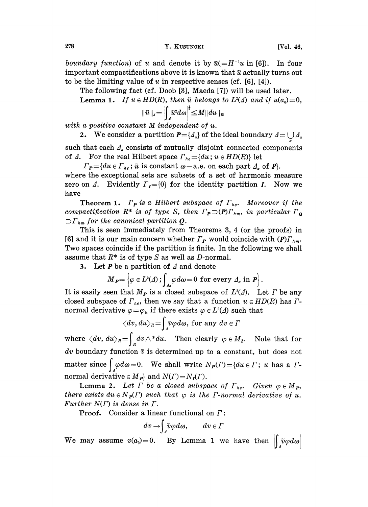278 **Y. KUSUNOKI** [Vol. 46,

The following fact (cf. Doob [3], Maeda [7]) will be used later.

Lemma 1. If  $u \in HD(R)$ , then  $\tilde{u}$  belongs to  $L^2(\Delta)$  and if  $u(a_0)=0$ ,

$$
\|\tilde{u}\|_{\scriptscriptstyle{A}}\!=\!\left|\int_{\scriptscriptstyle{A}}\!\tilde{u}^{\scriptscriptstyle{2}}d\omega\right|^{\!*}\!\leq\!M\|du\|_{\scriptscriptstyle{R}}
$$

with <sup>a</sup> positive constant M independent of u.

2. We consider a partition  $P = \{A_{\alpha}\}\$  of the ideal boundary  $A = \bigcup A_{\alpha}$ 

such that each  $\Delta_{\alpha}$  consists of mutually disjoint connected components of  $\Delta$ . For the real Hilbert space  $\Gamma_{he} = \{du; u \in HD(R)\}\$ let

 $\Gamma_{\mathbf{P}} = \{du \in \Gamma_{he}$ ;  $\tilde{u}$  is constant  $\omega$ -a.e. on each part  $\mathcal{A}_a$  of  $\mathbf{P}$ .

where the exceptional sets are subsets of a set of harmonic measure zero on  $\Lambda$ . Evidently  $\Gamma_I = \{0\}$  for the identity partition I. Now we have

**Theorem 1.**  $\Gamma_P$  is a Hilbert subspace of  $\Gamma_{he}$ . Moreover if the compactification  $R^*$  is of type S, then  $\Gamma_P \supset (P) \Gamma_{hm}$ , in particular  $\Gamma_{\mathbf{Q}}$  $\sup_{n=1}^{n}$  for the canonical partition Q.

This is seen immediately from Theorems 3, 4 (or the proofs) in [6] and it is our main concern whether  $\Gamma_P$  would coincide with  $(P)\Gamma_{hm}$ . Two spaces coincide if the partition is finite. In the following we shall assume that  $R^*$  is of type S as well as D-normal.

3. Let  $P$  be a partition of  $\Delta$  and denote

$$
M_{\boldsymbol{P}} = \left\{ \varphi \in L^2(\varDelta) \, ; \int_{\varDelta_{\alpha}} \varphi \, d\omega = 0 \text{ for every } \varDelta_{\alpha} \text{ in } \boldsymbol{P} \right\}.
$$

It is easily seen that  $M_P$  is a closed subspace of  $L^2(\Lambda)$ . Let  $\Gamma$  be any closed subspace of  $\Gamma_{he}$ , then we say that a function  $u \in HD(R)$  has  $\Gamma$ normal derivative  $\varphi = \varphi_u$  if there exists  $\varphi \in L^2(\Lambda)$  such that

$$
\big\langle dv,du\big\rangle_R\!=\!\!\int_{\it 4}\!\!\tilde{v}\varphi d\omega, \,{\rm for}\,\,{\rm any}\,\,dv\in\varGamma
$$

where  $\langle dv, du \rangle_{\scriptscriptstyle R} = \int_R dv \wedge^* du$ . Then clearly  $\varphi \in M_I$ . Note that for dv boundary function  $\tilde{v}$  is determined up to a constant, but does not matter since  $\int_A \varphi d\omega = 0$ . We shall write  $N_P(\Gamma) = \{ du \in \Gamma \mid u \text{ has a } \Gamma \}.$ normal derivative  $\in M_P$  and  $N(\Gamma) = N_I(\Gamma)$ .

**Lemma 2.** Let  $\Gamma$  be a closed subspace of  $\Gamma_{he}$ . Given  $\varphi \in M_{\mathbf{P}}$ , there exists  $du \in N_P(\Gamma)$  such that  $\varphi$  is the F-normal derivative of u. Further  $N(\Gamma)$  is dense in  $\Gamma$ .

**Proof.** Consider a linear functional on  $\Gamma$ :

$$
dv \rightarrow \int_{\mathcal{A}} \tilde{v} \varphi d\omega, \qquad dv \in \varGamma
$$

We may assume  $v(a_0)=0$ . By Lemma 1 we have then  $\left|\int \tilde{v}\varphi d\omega\right|$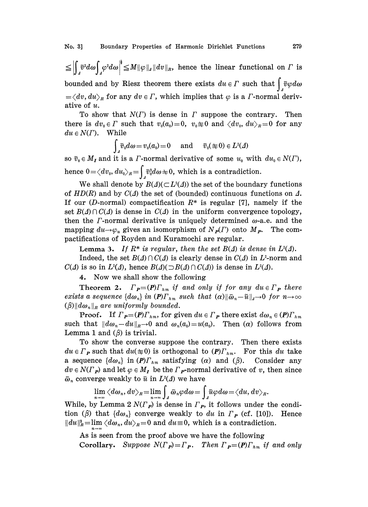$\leq \left|\int_{A} \tilde{v}^2 d\omega \right|_A^4 \leq M \|\varphi\|_A \|dv\|_R$ , hence the linear functional on  $\Gamma$  is bounded and by Riesz theorem there exists  $du \in \Gamma$  such that  $\int \tilde{v} \varphi d\omega$  $=\langle dv, du \rangle_R$  for any  $dv \in \Gamma$ , which implies that  $\varphi$  is a  $\Gamma$ -normal derivative of u.

To show that  $N(\Gamma)$  is dense in  $\Gamma$  suppose the contrary. Then there is  $dv_0 \in \Gamma$  such that  $v_0(a_0)=0$ ,  $v_0 \neq 0$  and  $\langle dv_0, du \rangle_R = 0$  for any  $du \in N(\Gamma)$ . While

$$
\int_{d} \widetilde{v}_0 d\omega = v_0(a_0) = 0 \quad \text{and} \quad \widetilde{v}_0(\equiv 0) \in L^2(\Delta)
$$

so  $\tilde{v}_0 \in M_I$  and it is a *F*-normal derivative of some  $u_0$  with  $du_0 \in N(\Gamma)$ , hence  $0=\langle dv_0, du_0\rangle_R = \int_{\Lambda_0} \tilde{v}_0^2 d\omega \neq 0$ , which is a contradiction.

We shall denote by  $B(\Lambda)(\subset L^2(\Lambda))$  the set of the boundary functions of  $HD(R)$  and by  $C(\Lambda)$  the set of (bounded) continuous functions on  $\Lambda$ . If our (*D*-normal) compactification  $R^*$  is regular [7], namely if the set  $B(\Lambda) \cap C(\Lambda)$  is dense in  $C(\Lambda)$  in the uniform convergence topology, then the  $\Gamma$ -normal derivative is uniquely determined  $\omega$ -a.e. and the mapping  $du \rightarrow \varphi_u$  gives an isomorphism of  $N_{\mathbf{P}}(F)$  onto  $M_{\mathbf{P}}$ . The compactifications of Royden and Kuramochi are regular.

**Lemma 3.** If  $R^*$  is regular, then the set  $B(\Delta)$  is dense in  $L^2(\Delta)$ .

Indeed, the set  $B(\Lambda) \cap C(\Lambda)$  is clearly dense in  $C(\Lambda)$  in  $L^2$ -norm and  $C(\Delta)$  is so in  $L^2(\Delta)$ , hence  $B(\Delta) \cap B(\Delta) \cap C(\Delta)$  is dense in  $L^2(\Delta)$ .

4. Now we shall show the following

**Theorem 2.**  $\Gamma_{\mathbf{P}}=(\mathbf{P})\Gamma_{hm}$  if and only if for any due  $\Gamma_{\mathbf{P}}$  there exists a sequence  $\{d\omega_n\}$  in  $(P)\Gamma_{hm}$  such that  $(\alpha)\|\tilde{\omega}_n-\tilde{u}\|_{q\to 0}$  for  $n\to\infty$  $(\beta)$ ||d $\omega_n$ ||<sub>R</sub> are uniformly bounded.

**Proof.** If  $\Gamma_{\mathbf{P}} = (\mathbf{P})\Gamma_{hm}$ , for given  $du \in \Gamma_{\mathbf{P}}$  there exist  $d\omega_n \in (\mathbf{P})\Gamma_{hm}$ such that  $||d\omega_n - du||_R \to 0$  and  $\omega_n(a_0) = u(a_0)$ . Then  $(\alpha)$  follows from Lemma 1 and  $(\beta)$  is trivial.

To show the converse suppose the contrary. Then there exists  $du \in \Gamma_P$  such that  $du(\pm 0)$  is orthogonal to  $(P)\Gamma_{hm}$ . For this du take a sequence  $\{d\omega_n\}$  in  $(P)\Gamma_{nm}$  satisfying  $(\alpha)$  and  $(\beta)$ . Consider any  $dv \in N(\Gamma_P)$  and let  $\varphi \in M_I$  be the  $\Gamma_P$ -normal derivative of v, then since  $\tilde{\omega}_n$  converge weakly to  $\tilde{u}$  in  $L^2(\Delta)$  we have

$$
\lim_{n\to\infty}\langle d\omega_n, dv\rangle_{\scriptscriptstyle R}=\lim_{n\to\infty}\int_{\scriptscriptstyle A}\tilde{\omega}_n\varphi d\omega=\int_{\scriptscriptstyle A}\tilde{u}\varphi d\omega\!=\!\langle du, dv\rangle_{\scriptscriptstyle R}.
$$

While, by Lemma 2  $N(\Gamma_P)$  is dense in  $\Gamma_P$ , it follows under the condition ( $\beta$ ) that  $\{d\omega_n\}$  converge weakly to du in  $\Gamma_P$  (cf. [10]). Hence  $||du||_{R}^{2}=\lim \langle d\omega_{n}, du\rangle_{R}=0$  and  $du\equiv 0$ , which is a contradiction.

As is seen from the proof above we have the following

Corollary. Suppose  $N(\Gamma_p) = \Gamma_p$ . Then  $\Gamma_p = (p) \Gamma_{hm}$  if and only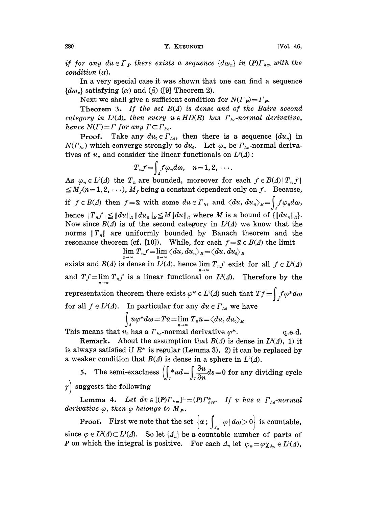if for any du  $\in \Gamma_P$  there exists a sequence  $\{d\omega_n\}$  in  $(P)\Gamma_{hm}$  with the condition  $(\alpha)$ .

In a very special case it was shown that one can find a sequence  ${d\omega_n}$  satisfying (*a*) and ( $\beta$ ) ([9] Theorem 2).

Next we shall give a sufficient condition for  $N(\Gamma_P)=\Gamma_P$ .

Theorem 3. If the set  $B(\Delta)$  is dense and of the Baire second category in  $L^2(\Lambda)$ , then every  $u \in HD(R)$  has  $\Gamma_{he}$ -normal derivative, hence  $N(\Gamma) = \Gamma$  for any  $\Gamma \subset \Gamma_{he}$ .

**Proof.** Take any  $du_0 \in \Gamma_{he}$ , then there is a sequence  $\{du_n\}$  in  $N(\Gamma_{he})$  which converge strongly to  $du_0$ . Let  $\varphi_n$  be  $\Gamma_{he}$ -normal derivatives of  $u_n$  and consider the linear functionals on  $L^2(\Lambda)$ :

$$
T_nf=\int_A f\varphi_n d\omega,\quad n=1,2,\cdots.
$$

As  $\varphi_n \in L^2(\Lambda)$  the  $T_n$  are bounded, moreover for each  $f \in B(\Lambda) |T_n f|$  $\leq M_f(n=1, 2, \dots), M_f$  being a constant dependent only on f. Because, if  $f \in B(\Delta)$  then  $f = \tilde{u}$  with some  $du \in \Gamma_{he}$  and  $\langle du, du_n \rangle_R = \int_{\Delta} f \varphi_n d\omega$ , hence  $|T_n f| \leq ||du||_R ||du_n||_R \leq M ||du||_R$  where M is a bound of  ${||du_n||_R}.$ Now since  $B(\Lambda)$  is of the second category in  $L^2(\Lambda)$  we know that the norms  $||T_n||$  are uniformly bounded by Banach theorem and the resonance theorem (cf. [10]). While, for each  $f = \tilde{u} \in B(\Lambda)$  the limit

$$
\lim_{n\to\infty}T_nf=\lim_{n\to\infty}\langle du,du_n\rangle_R\!=\!\langle du,du_0\rangle_R
$$

exists and  $B(\Lambda)$  is dense in  $L^2(\Lambda)$ , hence  $\lim_{n\to\infty}T_nf$  exist for all  $f\in L^2(\Lambda)$ and  $Tf=\lim_{n\to\infty}T_nf$  is a linear functional on  $L^2(\Lambda)$ . Therefore by the representation theorem there exists  $\varphi^* \in L^2(\Lambda)$  such that<br>for all f a  $L^2(\Lambda)$ . In particular for any dy a  $\Gamma$ , and have for all  $f \in L^2(\Lambda)$ . In particular for any  $du \in \Gamma_{he}$  we have  $\int_{\mathcal{A}} \tilde{u} \varphi^* d\omega = T \tilde{u} = \lim_{n \to \infty} T_n \tilde{u} = \langle du, du_0 \rangle_R$ 

This means that  $u_0$  has a  $\Gamma_{he}$ -normal derivative  $\varphi^*$ . q.e.d.

Remark. About the assumption that  $B(\Lambda)$  is dense in  $L^2(\Lambda)$ , 1) it is always satisfied if  $R^*$  is regular (Lemma 3), 2) it can be replaced by a weaker condition that  $B(\Lambda)$  is dense in a sphere in  $L^2(\Lambda)$ .

5. The semi-exactness  $\int_{0}^{x} ud = \int_{0}^{x} \frac{\partial u}{\partial n} ds = 0$  for any dividing cycle  $\gamma$  suggests the following

**Lemma 4.** Let  $dv \in [({P})\Gamma_{hm}]^{\perp}=(P)\Gamma_{hse}^*$ . If v has a  $\Gamma_{he}$ -normal derivative  $\varphi$ , then  $\varphi$  belongs to  $M_P$ .

**Proof.** First we note that the set  $\{\alpha : \int_{\alpha} |\varphi| d\omega > 0\}$  is countable, since  $\varphi \in L^2(\Lambda) \subset L^1(\Lambda)$ . So let  $\{\Lambda_n\}$  be a countable number of parts of **P** on which the integral is positive. For each  $\Lambda_n$  let  $\varphi_n = \varphi \chi_{\Lambda_n} \in L^1(\Lambda)$ ,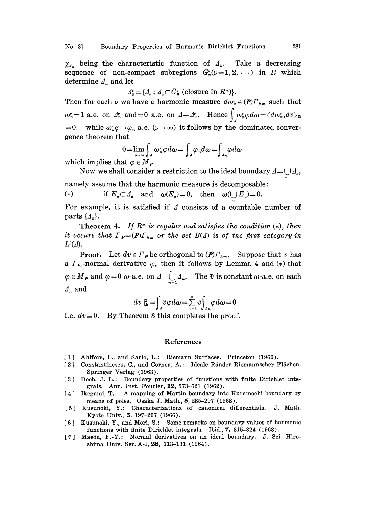$\chi_{A_n}$  being the characteristic function of  $A_n$ . Take a decreasing sequence of non-compact subregions  $G_n^{\nu}(\nu=1,2,\cdots)$  in R which determine  $\mathcal{A}_n$  and let

$$
\Delta_n^{\nu} = \{ \mathcal{A}_{\alpha} \, ; \, \mathcal{A}_{\alpha} \subset \bar{G}_n^{\nu} \text{ (closure in } R^*\text{)} \}.
$$

Then for each  $\nu$  we have a harmonic measure  $d\omega_n^* \in (P)\Gamma_{nm}$  such that  $\omega_n^{\nu} = 1$  a.e. on  $\Delta_n^{\nu}$  and  $= 0$  a.e. on  $\Delta - \Delta_n^{\nu}$ . Hence  $\int_{A}^{\infty} \omega_n^{\nu} \varphi d\omega = \langle d\omega_n^{\nu}, dv \rangle_R$ Then for each  $\nu$  we have a harmonic measure  $d\omega_n^{\nu} \in (P)\Gamma_{hm}$  such that  $\omega_n^{\nu} = 1$  a.e. on  $\Lambda_n^{\nu}$  and  $= 0$  a.e. on  $\Lambda_n^{\nu}$ . Hence  $\int_{\Lambda} \omega_n^{\nu} \varphi d\omega = \langle d\omega_n^{\nu}, dv \rangle_R$ <br>= 0. while  $\omega_n^{\nu} \varphi \rightarrow \varphi_n$  a.e.  $(\nu \rightarrow \in$ gence theorem that

$$
0 = \lim_{n \to \infty} \int_{A} \omega_n^{\nu} \varphi d\omega = \int_{A} \varphi_n d\omega = \int_{A_n} \varphi d\omega
$$

which implies that  $\varphi \in M_P$ .

Now we shall consider a restriction to the ideal boundary  $\Delta = \bigcup_{\alpha} \Delta_{\alpha}$ ,<br>umber of namely assume that the harmonic measure is decomposable:

(\*) if  $E_a \subset A_a$  and  $\omega(E_a)=0$ , then  $\omega(\bigcup E_a)=0$ .

For example, it is satisfied if  $\Lambda$  consists of a countable number of parts  $\{A_n\}.$ 

Theorem 4. If  $R^*$  is regular and satisfies the condition  $(*)$ , then it occurs that  $\Gamma_{\mathbf{P}} = (\mathbf{P}) \Gamma_{nm}$  or the set  $B(\Delta)$  is of the first category in  $L^2(\varDelta)$ .

**Proof.** Let  $dv \in \Gamma_P$  be orthogonal to  $(PI\Gamma_{hm})$ . Suppose that v has a  $\Gamma_{he}$ -normal derivative  $\varphi$ , then it follows by Lemma 4 and (\*) that  $\in M_P$  and  $\varphi = 0$  w-a.e. on  $\Delta - \bigcup_{n=1}^{\infty} \Delta_n$ . The  $\tilde{v}$  is constant w-a.e. on each<br>and<br> $||dv||_R^2 = \int_A \tilde{v} \varphi d\omega = \sum_{n=1}^{\infty} \tilde{v} \int_{\Delta_n} \varphi d\omega = 0$  $\Delta_n$  and

i.e.  $dv \equiv 0$ . By Theorem 3 this completes the proof.

## References

- [1] Ahlfors, L., and Sario, L.: Riemann Surfaces. Princeton (1960).
- [2] Constantinescu, C., and Cornea, A.: Ideale Ränder Riemannscher Flächen. Springer Verlag (1963).
- [3] Doob, J. L.: Boundary properties of functions with finite Dirichlet integrals. Ann. Inst. Fourier, 12, 573-621 (1962).
- [4] Ikegami, T.: A mapping of Martin boundary into Kuramochi boundary by means of poles. Osaka J. Math., 5, 285-297 (1968).
- [5] Kusunoki, Y.: Characterizations of canonical differentials. J. Math. Kyoto Univ., 5, 197-207 (1966).
- [6] Kusunoki, Y., and Mori, S.: Some remarks on boundary values of harmonic functions with finite Dirichlet integrals. Ibid.,  $7, 315-324$  (1968).
- [7] Maeda, F.-Y.: Normal derivatives on an ideal boundary. J. Sci. Hiroshima Univ. Ser. A-I, 28, 113-131 (1964).